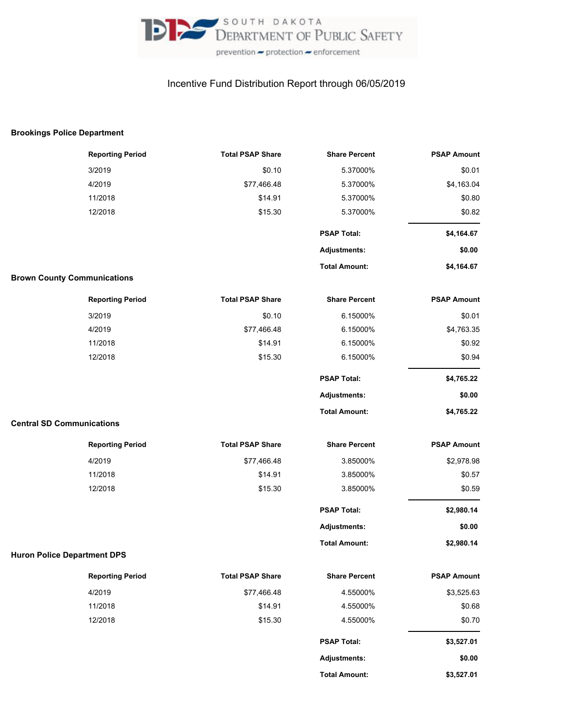

## Incentive Fund Distribution Report through 06/05/2019

## **Brookings Police Department**

|                                    | <b>Reporting Period</b> | <b>Total PSAP Share</b> | <b>Share Percent</b> | <b>PSAP Amount</b> |
|------------------------------------|-------------------------|-------------------------|----------------------|--------------------|
|                                    | 3/2019                  | \$0.10                  | 5.37000%             | \$0.01             |
|                                    | 4/2019                  | \$77,466.48             | 5.37000%             | \$4,163.04         |
|                                    | 11/2018                 | \$14.91                 | 5.37000%             | \$0.80             |
|                                    | 12/2018                 | \$15.30                 | 5.37000%             | \$0.82             |
|                                    |                         |                         | <b>PSAP Total:</b>   | \$4,164.67         |
|                                    |                         |                         | <b>Adjustments:</b>  | \$0.00             |
|                                    |                         |                         | <b>Total Amount:</b> | \$4,164.67         |
| <b>Brown County Communications</b> |                         |                         |                      |                    |
|                                    | <b>Reporting Period</b> | <b>Total PSAP Share</b> | <b>Share Percent</b> | <b>PSAP Amount</b> |
|                                    | 3/2019                  | \$0.10                  | 6.15000%             | \$0.01             |
|                                    | 4/2019                  | \$77,466.48             | 6.15000%             | \$4,763.35         |
|                                    | 11/2018                 | \$14.91                 | 6.15000%             | \$0.92             |
|                                    | 12/2018                 | \$15.30                 | 6.15000%             | \$0.94             |
|                                    |                         |                         | <b>PSAP Total:</b>   | \$4,765.22         |
|                                    |                         |                         | <b>Adjustments:</b>  | \$0.00             |
|                                    |                         |                         | <b>Total Amount:</b> | \$4,765.22         |
| <b>Central SD Communications</b>   |                         |                         |                      |                    |
|                                    | <b>Reporting Period</b> | <b>Total PSAP Share</b> | <b>Share Percent</b> | <b>PSAP Amount</b> |
|                                    | 4/2019                  | \$77,466.48             | 3.85000%             | \$2,978.98         |
|                                    | 11/2018                 | \$14.91                 | 3.85000%             | \$0.57             |
|                                    | 12/2018                 | \$15.30                 | 3.85000%             | \$0.59             |
|                                    |                         |                         | <b>PSAP Total:</b>   | \$2,980.14         |
|                                    |                         |                         | <b>Adjustments:</b>  | \$0.00             |
|                                    |                         |                         | <b>Total Amount:</b> | \$2,980.14         |
| <b>Huron Police Department DPS</b> |                         |                         |                      |                    |
|                                    | <b>Reporting Period</b> | <b>Total PSAP Share</b> | <b>Share Percent</b> | <b>PSAP Amount</b> |
|                                    | 4/2019                  | \$77,466.48             | 4.55000%             | \$3,525.63         |
|                                    | 11/2018                 | \$14.91                 | 4.55000%             | \$0.68             |
|                                    | 12/2018                 | \$15.30                 | 4.55000%             | \$0.70             |
|                                    |                         |                         | <b>PSAP Total:</b>   | \$3,527.01         |
|                                    |                         |                         | <b>Adjustments:</b>  | \$0.00             |
|                                    |                         |                         | <b>Total Amount:</b> | \$3,527.01         |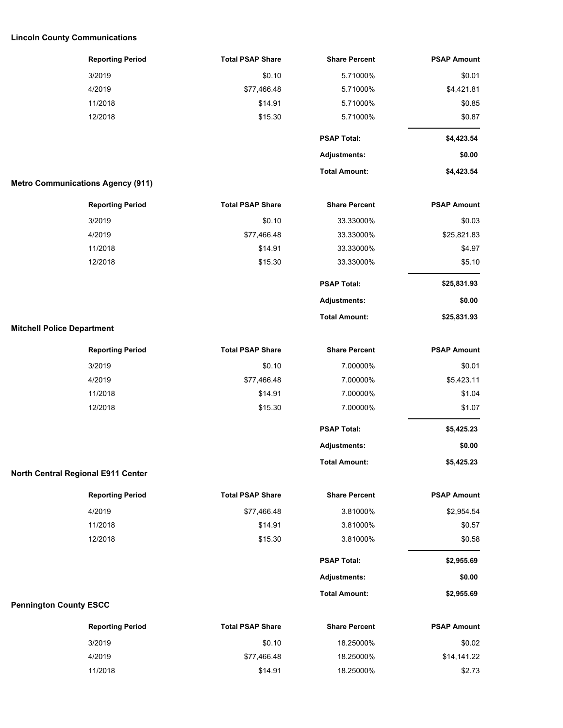## **Lincoln County Communications**

| <b>Reporting Period</b>                  | <b>Total PSAP Share</b> | <b>Share Percent</b> | <b>PSAP Amount</b> |
|------------------------------------------|-------------------------|----------------------|--------------------|
| 3/2019                                   | \$0.10                  | 5.71000%             | \$0.01             |
| 4/2019                                   | \$77,466.48             | 5.71000%             | \$4,421.81         |
| 11/2018                                  | \$14.91                 | 5.71000%             | \$0.85             |
| 12/2018                                  | \$15.30                 | 5.71000%             | \$0.87             |
|                                          |                         | <b>PSAP Total:</b>   | \$4,423.54         |
|                                          |                         | <b>Adjustments:</b>  | \$0.00             |
|                                          |                         | <b>Total Amount:</b> | \$4,423.54         |
| <b>Metro Communications Agency (911)</b> |                         |                      |                    |
| <b>Reporting Period</b>                  | <b>Total PSAP Share</b> | <b>Share Percent</b> | <b>PSAP Amount</b> |
| 3/2019                                   | \$0.10                  | 33.33000%            | \$0.03             |
| 4/2019                                   | \$77,466.48             | 33.33000%            | \$25,821.83        |
| 11/2018                                  | \$14.91                 | 33.33000%            | \$4.97             |
| 12/2018                                  | \$15.30                 | 33.33000%            | \$5.10             |
|                                          |                         | <b>PSAP Total:</b>   | \$25,831.93        |
|                                          |                         | <b>Adjustments:</b>  | \$0.00             |
|                                          |                         | <b>Total Amount:</b> | \$25,831.93        |
| <b>Mitchell Police Department</b>        |                         |                      |                    |
| <b>Reporting Period</b>                  | <b>Total PSAP Share</b> | <b>Share Percent</b> | <b>PSAP Amount</b> |
| 3/2019                                   | \$0.10                  | 7.00000%             | \$0.01             |
| 4/2019                                   | \$77,466.48             | 7.00000%             | \$5,423.11         |
| 11/2018                                  | \$14.91                 | 7.00000%             | \$1.04             |
| 12/2018                                  | \$15.30                 | 7.00000%             | \$1.07             |
|                                          |                         | <b>PSAP Total:</b>   | \$5,425.23         |
|                                          |                         | Adjustments:         | \$0.00             |
|                                          |                         | <b>Total Amount:</b> | \$5,425.23         |
| North Central Regional E911 Center       |                         |                      |                    |
| <b>Reporting Period</b>                  | <b>Total PSAP Share</b> | <b>Share Percent</b> | <b>PSAP Amount</b> |
| 4/2019                                   | \$77,466.48             | 3.81000%             | \$2,954.54         |
| 11/2018                                  | \$14.91                 | 3.81000%             | \$0.57             |
| 12/2018                                  | \$15.30                 | 3.81000%             | \$0.58             |
|                                          |                         | <b>PSAP Total:</b>   | \$2,955.69         |
|                                          |                         | <b>Adjustments:</b>  | \$0.00             |
|                                          |                         | <b>Total Amount:</b> | \$2,955.69         |
| <b>Pennington County ESCC</b>            |                         |                      |                    |
| <b>Reporting Period</b>                  | <b>Total PSAP Share</b> | <b>Share Percent</b> | <b>PSAP Amount</b> |
| 3/2019                                   | \$0.10                  | 18.25000%            | \$0.02             |
| 4/2019                                   | \$77,466.48             | 18.25000%            | \$14,141.22        |

11/2018 \$14.91 18.25000% \$2.73